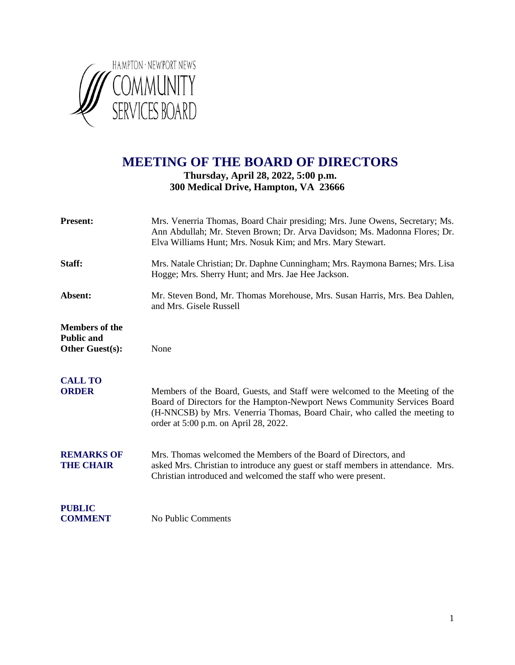

# **MEETING OF THE BOARD OF DIRECTORS**

### **Thursday, April 28, 2022, 5:00 p.m. 300 Medical Drive, Hampton, VA 23666**

| <b>Present:</b>                                                      | Mrs. Venerria Thomas, Board Chair presiding; Mrs. June Owens, Secretary; Ms.<br>Ann Abdullah; Mr. Steven Brown; Dr. Arva Davidson; Ms. Madonna Flores; Dr.<br>Elva Williams Hunt; Mrs. Nosuk Kim; and Mrs. Mary Stewart.                                                      |
|----------------------------------------------------------------------|-------------------------------------------------------------------------------------------------------------------------------------------------------------------------------------------------------------------------------------------------------------------------------|
| Staff:                                                               | Mrs. Natale Christian; Dr. Daphne Cunningham; Mrs. Raymona Barnes; Mrs. Lisa<br>Hogge; Mrs. Sherry Hunt; and Mrs. Jae Hee Jackson.                                                                                                                                            |
| Absent:                                                              | Mr. Steven Bond, Mr. Thomas Morehouse, Mrs. Susan Harris, Mrs. Bea Dahlen,<br>and Mrs. Gisele Russell                                                                                                                                                                         |
| <b>Members of the</b><br><b>Public and</b><br><b>Other Guest(s):</b> | None                                                                                                                                                                                                                                                                          |
| <b>CALL TO</b><br><b>ORDER</b>                                       | Members of the Board, Guests, and Staff were welcomed to the Meeting of the<br>Board of Directors for the Hampton-Newport News Community Services Board<br>(H-NNCSB) by Mrs. Venerria Thomas, Board Chair, who called the meeting to<br>order at 5:00 p.m. on April 28, 2022. |
| <b>REMARKS OF</b><br><b>THE CHAIR</b>                                | Mrs. Thomas welcomed the Members of the Board of Directors, and<br>asked Mrs. Christian to introduce any guest or staff members in attendance. Mrs.<br>Christian introduced and welcomed the staff who were present.                                                          |
| <b>PUBLIC</b><br><b>COMMENT</b>                                      | No Public Comments                                                                                                                                                                                                                                                            |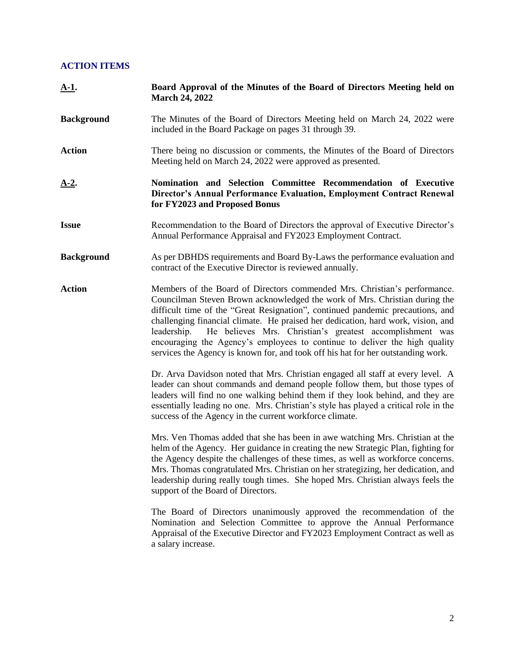## **ACTION ITEMS**

| <u>A-1</u> .      | Board Approval of the Minutes of the Board of Directors Meeting held on<br><b>March 24, 2022</b>                                                                                                                                                                                                                                                                                                                                                                                                                                                                           |
|-------------------|----------------------------------------------------------------------------------------------------------------------------------------------------------------------------------------------------------------------------------------------------------------------------------------------------------------------------------------------------------------------------------------------------------------------------------------------------------------------------------------------------------------------------------------------------------------------------|
| <b>Background</b> | The Minutes of the Board of Directors Meeting held on March 24, 2022 were<br>included in the Board Package on pages 31 through 39.                                                                                                                                                                                                                                                                                                                                                                                                                                         |
| <b>Action</b>     | There being no discussion or comments, the Minutes of the Board of Directors<br>Meeting held on March 24, 2022 were approved as presented.                                                                                                                                                                                                                                                                                                                                                                                                                                 |
| <u>A-2.</u>       | Nomination and Selection Committee Recommendation of Executive<br>Director's Annual Performance Evaluation, Employment Contract Renewal<br>for FY2023 and Proposed Bonus                                                                                                                                                                                                                                                                                                                                                                                                   |
| <b>Issue</b>      | Recommendation to the Board of Directors the approval of Executive Director's<br>Annual Performance Appraisal and FY2023 Employment Contract.                                                                                                                                                                                                                                                                                                                                                                                                                              |
| <b>Background</b> | As per DBHDS requirements and Board By-Laws the performance evaluation and<br>contract of the Executive Director is reviewed annually.                                                                                                                                                                                                                                                                                                                                                                                                                                     |
| <b>Action</b>     | Members of the Board of Directors commended Mrs. Christian's performance.<br>Councilman Steven Brown acknowledged the work of Mrs. Christian during the<br>difficult time of the "Great Resignation", continued pandemic precautions, and<br>challenging financial climate. He praised her dedication, hard work, vision, and<br>He believes Mrs. Christian's greatest accomplishment was<br>leadership.<br>encouraging the Agency's employees to continue to deliver the high quality<br>services the Agency is known for, and took off his hat for her outstanding work. |
|                   | Dr. Arva Davidson noted that Mrs. Christian engaged all staff at every level. A<br>leader can shout commands and demand people follow them, but those types of<br>leaders will find no one walking behind them if they look behind, and they are<br>essentially leading no one. Mrs. Christian's style has played a critical role in the<br>success of the Agency in the current workforce climate.                                                                                                                                                                        |
|                   | Mrs. Ven Thomas added that she has been in awe watching Mrs. Christian at the<br>helm of the Agency. Her guidance in creating the new Strategic Plan, fighting for<br>the Agency despite the challenges of these times, as well as workforce concerns.<br>Mrs. Thomas congratulated Mrs. Christian on her strategizing, her dedication, and<br>leadership during really tough times. She hoped Mrs. Christian always feels the<br>support of the Board of Directors.                                                                                                       |
|                   | The Board of Directors unanimously approved the recommendation of the<br>Nomination and Selection Committee to approve the Annual Performance<br>Appraisal of the Executive Director and FY2023 Employment Contract as well as<br>a salary increase.                                                                                                                                                                                                                                                                                                                       |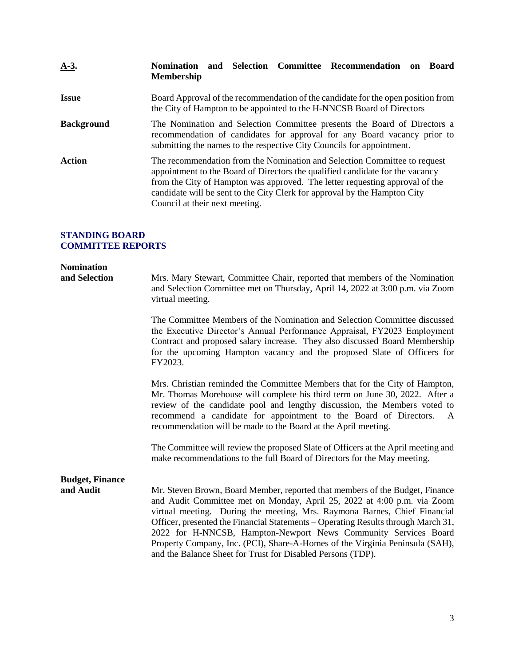| $A-3$ .           | Selection Committee Recommendation<br><b>Nomination</b><br><b>Board</b><br>and<br>on<br><b>Membership</b>                                                                                                                                                                                                                                                 |
|-------------------|-----------------------------------------------------------------------------------------------------------------------------------------------------------------------------------------------------------------------------------------------------------------------------------------------------------------------------------------------------------|
| <b>Issue</b>      | Board Approval of the recommendation of the candidate for the open position from<br>the City of Hampton to be appointed to the H-NNCSB Board of Directors                                                                                                                                                                                                 |
| <b>Background</b> | The Nomination and Selection Committee presents the Board of Directors a<br>recommendation of candidates for approval for any Board vacancy prior to<br>submitting the names to the respective City Councils for appointment.                                                                                                                             |
| Action            | The recommendation from the Nomination and Selection Committee to request<br>appointment to the Board of Directors the qualified candidate for the vacancy<br>from the City of Hampton was approved. The letter requesting approval of the<br>candidate will be sent to the City Clerk for approval by the Hampton City<br>Council at their next meeting. |

### **STANDING BOARD COMMITTEE REPORTS**

| <b>Nomination</b><br>and Selection  | Mrs. Mary Stewart, Committee Chair, reported that members of the Nomination<br>and Selection Committee met on Thursday, April 14, 2022 at 3:00 p.m. via Zoom<br>virtual meeting.                                                                                                                                                                                                                                                                                                                                                            |
|-------------------------------------|---------------------------------------------------------------------------------------------------------------------------------------------------------------------------------------------------------------------------------------------------------------------------------------------------------------------------------------------------------------------------------------------------------------------------------------------------------------------------------------------------------------------------------------------|
|                                     | The Committee Members of the Nomination and Selection Committee discussed<br>the Executive Director's Annual Performance Appraisal, FY2023 Employment<br>Contract and proposed salary increase. They also discussed Board Membership<br>for the upcoming Hampton vacancy and the proposed Slate of Officers for<br>FY2023.                                                                                                                                                                                                                  |
|                                     | Mrs. Christian reminded the Committee Members that for the City of Hampton,<br>Mr. Thomas Morehouse will complete his third term on June 30, 2022. After a<br>review of the candidate pool and lengthy discussion, the Members voted to<br>recommend a candidate for appointment to the Board of Directors.<br>$\mathbf{A}$<br>recommendation will be made to the Board at the April meeting.                                                                                                                                               |
|                                     | The Committee will review the proposed Slate of Officers at the April meeting and<br>make recommendations to the full Board of Directors for the May meeting.                                                                                                                                                                                                                                                                                                                                                                               |
| <b>Budget, Finance</b><br>and Audit | Mr. Steven Brown, Board Member, reported that members of the Budget, Finance<br>and Audit Committee met on Monday, April 25, 2022 at 4:00 p.m. via Zoom<br>virtual meeting. During the meeting, Mrs. Raymona Barnes, Chief Financial<br>Officer, presented the Financial Statements – Operating Results through March 31,<br>2022 for H-NNCSB, Hampton-Newport News Community Services Board<br>Property Company, Inc. (PCI), Share-A-Homes of the Virginia Peninsula (SAH),<br>and the Balance Sheet for Trust for Disabled Persons (TDP). |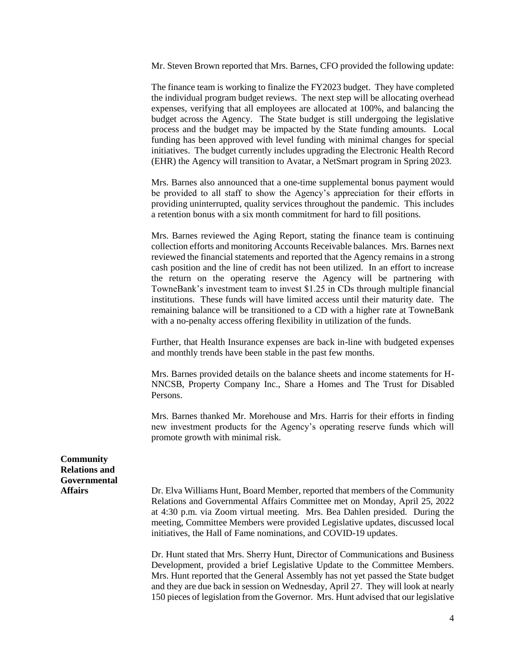Mr. Steven Brown reported that Mrs. Barnes, CFO provided the following update:

The finance team is working to finalize the FY2023 budget. They have completed the individual program budget reviews. The next step will be allocating overhead expenses, verifying that all employees are allocated at 100%, and balancing the budget across the Agency. The State budget is still undergoing the legislative process and the budget may be impacted by the State funding amounts. Local funding has been approved with level funding with minimal changes for special initiatives. The budget currently includes upgrading the Electronic Health Record (EHR) the Agency will transition to Avatar, a NetSmart program in Spring 2023.

Mrs. Barnes also announced that a one-time supplemental bonus payment would be provided to all staff to show the Agency's appreciation for their efforts in providing uninterrupted, quality services throughout the pandemic. This includes a retention bonus with a six month commitment for hard to fill positions.

Mrs. Barnes reviewed the Aging Report, stating the finance team is continuing collection efforts and monitoring Accounts Receivable balances. Mrs. Barnes next reviewed the financial statements and reported that the Agency remains in a strong cash position and the line of credit has not been utilized. In an effort to increase the return on the operating reserve the Agency will be partnering with TowneBank's investment team to invest \$1.25 in CDs through multiple financial institutions. These funds will have limited access until their maturity date. The remaining balance will be transitioned to a CD with a higher rate at TowneBank with a no-penalty access offering flexibility in utilization of the funds.

Further, that Health Insurance expenses are back in-line with budgeted expenses and monthly trends have been stable in the past few months.

Mrs. Barnes provided details on the balance sheets and income statements for H-NNCSB, Property Company Inc., Share a Homes and The Trust for Disabled Persons.

Mrs. Barnes thanked Mr. Morehouse and Mrs. Harris for their efforts in finding new investment products for the Agency's operating reserve funds which will promote growth with minimal risk.

**Community Relations and Governmental**

**Affairs** Dr. Elva Williams Hunt, Board Member, reported that members of the Community Relations and Governmental Affairs Committee met on Monday, April 25, 2022 at 4:30 p.m. via Zoom virtual meeting. Mrs. Bea Dahlen presided. During the meeting, Committee Members were provided Legislative updates, discussed local initiatives, the Hall of Fame nominations, and COVID-19 updates.

> Dr. Hunt stated that Mrs. Sherry Hunt, Director of Communications and Business Development, provided a brief Legislative Update to the Committee Members. Mrs. Hunt reported that the General Assembly has not yet passed the State budget and they are due back in session on Wednesday, April 27. They will look at nearly 150 pieces of legislation from the Governor. Mrs. Hunt advised that our legislative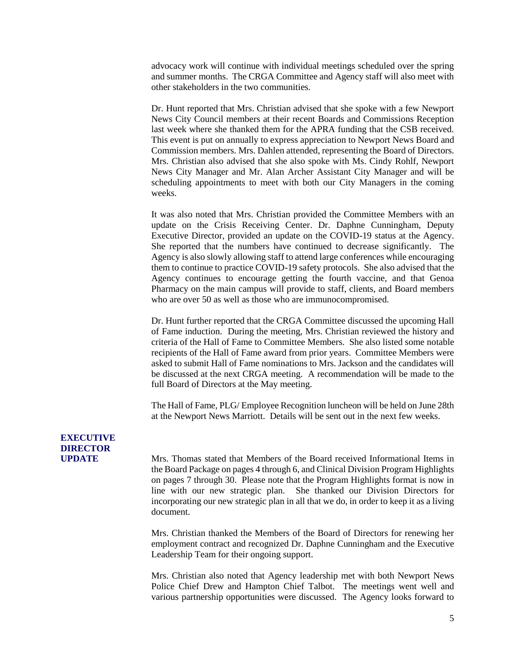advocacy work will continue with individual meetings scheduled over the spring and summer months. The CRGA Committee and Agency staff will also meet with other stakeholders in the two communities.

Dr. Hunt reported that Mrs. Christian advised that she spoke with a few Newport News City Council members at their recent Boards and Commissions Reception last week where she thanked them for the APRA funding that the CSB received. This event is put on annually to express appreciation to Newport News Board and Commission members. Mrs. Dahlen attended, representing the Board of Directors. Mrs. Christian also advised that she also spoke with Ms. Cindy Rohlf, Newport News City Manager and Mr. Alan Archer Assistant City Manager and will be scheduling appointments to meet with both our City Managers in the coming weeks.

It was also noted that Mrs. Christian provided the Committee Members with an update on the Crisis Receiving Center. Dr. Daphne Cunningham, Deputy Executive Director, provided an update on the COVID-19 status at the Agency. She reported that the numbers have continued to decrease significantly. The Agency is also slowly allowing staff to attend large conferences while encouraging them to continue to practice COVID-19 safety protocols. She also advised that the Agency continues to encourage getting the fourth vaccine, and that Genoa Pharmacy on the main campus will provide to staff, clients, and Board members who are over 50 as well as those who are immunocompromised.

Dr. Hunt further reported that the CRGA Committee discussed the upcoming Hall of Fame induction. During the meeting, Mrs. Christian reviewed the history and criteria of the Hall of Fame to Committee Members. She also listed some notable recipients of the Hall of Fame award from prior years. Committee Members were asked to submit Hall of Fame nominations to Mrs. Jackson and the candidates will be discussed at the next CRGA meeting. A recommendation will be made to the full Board of Directors at the May meeting.

The Hall of Fame, PLG/ Employee Recognition luncheon will be held on June 28th at the Newport News Marriott. Details will be sent out in the next few weeks.

## **EXECUTIVE DIRECTOR**

**UPDATE** Mrs. Thomas stated that Members of the Board received Informational Items in the Board Package on pages 4 through 6, and Clinical Division Program Highlights on pages 7 through 30. Please note that the Program Highlights format is now in line with our new strategic plan. She thanked our Division Directors for incorporating our new strategic plan in all that we do, in order to keep it as a living document.

> Mrs. Christian thanked the Members of the Board of Directors for renewing her employment contract and recognized Dr. Daphne Cunningham and the Executive Leadership Team for their ongoing support.

> Mrs. Christian also noted that Agency leadership met with both Newport News Police Chief Drew and Hampton Chief Talbot. The meetings went well and various partnership opportunities were discussed. The Agency looks forward to